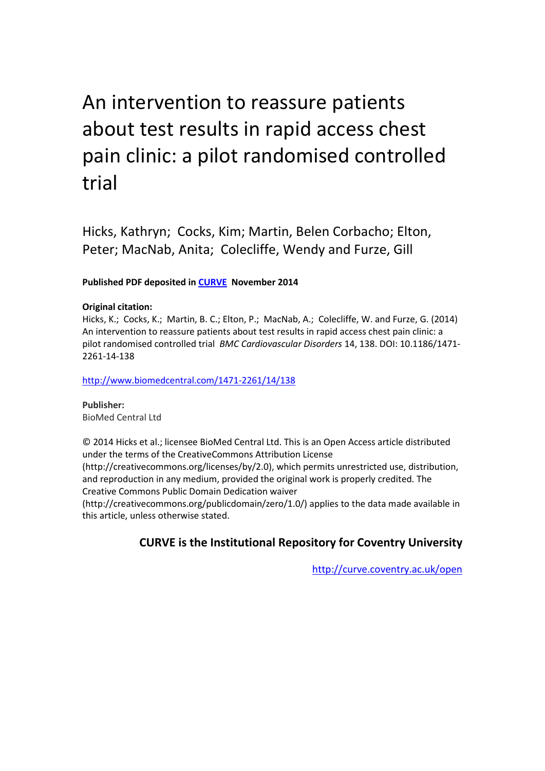# An intervention to reassure patients about test results in rapid access chest pain clinic: a pilot randomised controlled trial

Hicks, Kathryn; Cocks, Kim; Martin, Belen Corbacho; Elton, Peter; MacNab, Anita; Colecliffe, Wendy and Furze, Gill

### **Published PDF deposited in [CURVE](http://curve.coventry.ac.uk/open) November 2014**

#### **Original citation:**

Hicks, K.; Cocks, K.; Martin, B. C.; Elton, P.; MacNab, A.; Colecliffe, W. and Furze, G. (2014) An intervention to reassure patients about test results in rapid access chest pain clinic: a pilot randomised controlled trial *BMC Cardiovascular Disorders* 14, 138. DOI: 10.1186/1471- 2261-14-138

<http://www.biomedcentral.com/1471-2261/14/138>

**Publisher:** BioMed Central Ltd

© 2014 Hicks et al.; licensee BioMed Central Ltd. This is an Open Access article distributed under the terms of the CreativeCommons Attribution License

(http://creativecommons.org/licenses/by/2.0), which permits unrestricted use, distribution, and reproduction in any medium, provided the original work is properly credited. The Creative Commons Public Domain Dedication waiver

(http://creativecommons.org/publicdomain/zero/1.0/) applies to the data made available in this article, unless otherwise stated.

### **CURVE is the Institutional Repository for Coventry University**

<http://curve.coventry.ac.uk/open>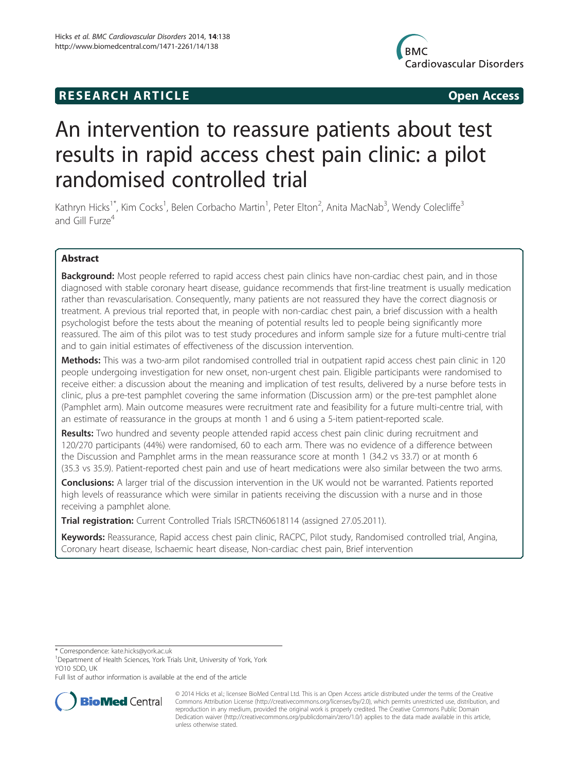## **RESEARCH ARTICLE Example 20 and 20 and 20 and 20 and 20 and 20 and 20 and 20 and 20 and 20 and 20 and 20 and 20 and 20 and 20 and 20 and 20 and 20 and 20 and 20 and 20 and 20 and 20 and 20 and 20 and 20 and 20 and 20 an**



# An intervention to reassure patients about test results in rapid access chest pain clinic: a pilot randomised controlled trial

Kathryn Hicks<sup>1\*</sup>, Kim Cocks<sup>1</sup>, Belen Corbacho Martin<sup>1</sup>, Peter Elton<sup>2</sup>, Anita MacNab<sup>3</sup>, Wendy Colecliffe<sup>3</sup> and Gill Furze<sup>4</sup>

#### Abstract

**Background:** Most people referred to rapid access chest pain clinics have non-cardiac chest pain, and in those diagnosed with stable coronary heart disease, guidance recommends that first-line treatment is usually medication rather than revascularisation. Consequently, many patients are not reassured they have the correct diagnosis or treatment. A previous trial reported that, in people with non-cardiac chest pain, a brief discussion with a health psychologist before the tests about the meaning of potential results led to people being significantly more reassured. The aim of this pilot was to test study procedures and inform sample size for a future multi-centre trial and to gain initial estimates of effectiveness of the discussion intervention.

Methods: This was a two-arm pilot randomised controlled trial in outpatient rapid access chest pain clinic in 120 people undergoing investigation for new onset, non-urgent chest pain. Eligible participants were randomised to receive either: a discussion about the meaning and implication of test results, delivered by a nurse before tests in clinic, plus a pre-test pamphlet covering the same information (Discussion arm) or the pre-test pamphlet alone (Pamphlet arm). Main outcome measures were recruitment rate and feasibility for a future multi-centre trial, with an estimate of reassurance in the groups at month 1 and 6 using a 5-item patient-reported scale.

Results: Two hundred and seventy people attended rapid access chest pain clinic during recruitment and 120/270 participants (44%) were randomised, 60 to each arm. There was no evidence of a difference between the Discussion and Pamphlet arms in the mean reassurance score at month 1 (34.2 vs 33.7) or at month 6 (35.3 vs 35.9). Patient-reported chest pain and use of heart medications were also similar between the two arms.

**Conclusions:** A larger trial of the discussion intervention in the UK would not be warranted. Patients reported high levels of reassurance which were similar in patients receiving the discussion with a nurse and in those receiving a pamphlet alone.

**Trial registration:** Current Controlled Trials [ISRCTN60618114](http://www.controlled-trials.com/ISRCTN60618114) (assigned 27.05.2011).

Keywords: Reassurance, Rapid access chest pain clinic, RACPC, Pilot study, Randomised controlled trial, Angina, Coronary heart disease, Ischaemic heart disease, Non-cardiac chest pain, Brief intervention

\* Correspondence: [kate.hicks@york.ac.uk](mailto:kate.hicks@york.ac.uk) <sup>1</sup>

Full list of author information is available at the end of the article



<sup>© 2014</sup> Hicks et al.; licensee BioMed Central Ltd. This is an Open Access article distributed under the terms of the Creative Commons Attribution License [\(http://creativecommons.org/licenses/by/2.0\)](http://creativecommons.org/licenses/by/2.0), which permits unrestricted use, distribution, and reproduction in any medium, provided the original work is properly credited. The Creative Commons Public Domain Dedication waiver [\(http://creativecommons.org/publicdomain/zero/1.0/](http://creativecommons.org/publicdomain/zero/1.0/)) applies to the data made available in this article, unless otherwise stated.

<sup>&</sup>lt;sup>1</sup>Department of Health Sciences, York Trials Unit, University of York, York YO10 5DD, UK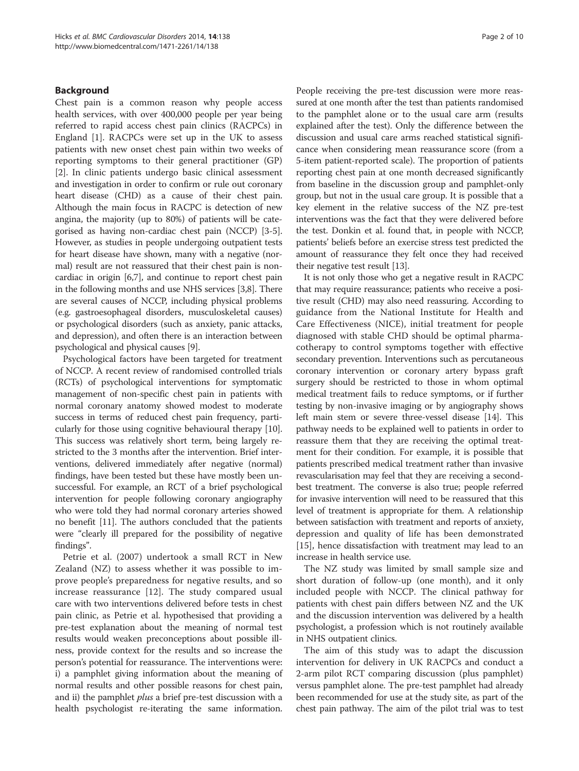#### Background

Chest pain is a common reason why people access health services, with over 400,000 people per year being referred to rapid access chest pain clinics (RACPCs) in England [\[1](#page-10-0)]. RACPCs were set up in the UK to assess patients with new onset chest pain within two weeks of reporting symptoms to their general practitioner (GP) [[2\]](#page-10-0). In clinic patients undergo basic clinical assessment and investigation in order to confirm or rule out coronary heart disease (CHD) as a cause of their chest pain. Although the main focus in RACPC is detection of new angina, the majority (up to 80%) of patients will be categorised as having non-cardiac chest pain (NCCP) [\[3](#page-10-0)-[5](#page-10-0)]. However, as studies in people undergoing outpatient tests for heart disease have shown, many with a negative (normal) result are not reassured that their chest pain is noncardiac in origin [[6](#page-10-0),[7](#page-10-0)], and continue to report chest pain in the following months and use NHS services [\[3,8](#page-10-0)]. There are several causes of NCCP, including physical problems (e.g. gastroesophageal disorders, musculoskeletal causes) or psychological disorders (such as anxiety, panic attacks, and depression), and often there is an interaction between psychological and physical causes [[9\]](#page-10-0).

Psychological factors have been targeted for treatment of NCCP. A recent review of randomised controlled trials (RCTs) of psychological interventions for symptomatic management of non-specific chest pain in patients with normal coronary anatomy showed modest to moderate success in terms of reduced chest pain frequency, particularly for those using cognitive behavioural therapy [[10](#page-10-0)]. This success was relatively short term, being largely restricted to the 3 months after the intervention. Brief interventions, delivered immediately after negative (normal) findings, have been tested but these have mostly been unsuccessful. For example, an RCT of a brief psychological intervention for people following coronary angiography who were told they had normal coronary arteries showed no benefit [\[11\]](#page-10-0). The authors concluded that the patients were "clearly ill prepared for the possibility of negative findings".

Petrie et al. (2007) undertook a small RCT in New Zealand (NZ) to assess whether it was possible to improve people's preparedness for negative results, and so increase reassurance [[12\]](#page-10-0). The study compared usual care with two interventions delivered before tests in chest pain clinic, as Petrie et al. hypothesised that providing a pre-test explanation about the meaning of normal test results would weaken preconceptions about possible illness, provide context for the results and so increase the person's potential for reassurance. The interventions were: i) a pamphlet giving information about the meaning of normal results and other possible reasons for chest pain, and ii) the pamphlet *plus* a brief pre-test discussion with a health psychologist re-iterating the same information.

People receiving the pre-test discussion were more reassured at one month after the test than patients randomised to the pamphlet alone or to the usual care arm (results explained after the test). Only the difference between the discussion and usual care arms reached statistical significance when considering mean reassurance score (from a 5-item patient-reported scale). The proportion of patients reporting chest pain at one month decreased significantly from baseline in the discussion group and pamphlet-only group, but not in the usual care group. It is possible that a key element in the relative success of the NZ pre-test interventions was the fact that they were delivered before the test. Donkin et al. found that, in people with NCCP, patients' beliefs before an exercise stress test predicted the amount of reassurance they felt once they had received their negative test result [\[13](#page-10-0)].

It is not only those who get a negative result in RACPC that may require reassurance; patients who receive a positive result (CHD) may also need reassuring. According to guidance from the National Institute for Health and Care Effectiveness (NICE), initial treatment for people diagnosed with stable CHD should be optimal pharmacotherapy to control symptoms together with effective secondary prevention. Interventions such as percutaneous coronary intervention or coronary artery bypass graft surgery should be restricted to those in whom optimal medical treatment fails to reduce symptoms, or if further testing by non-invasive imaging or by angiography shows left main stem or severe three-vessel disease [\[14\]](#page-10-0). This pathway needs to be explained well to patients in order to reassure them that they are receiving the optimal treatment for their condition. For example, it is possible that patients prescribed medical treatment rather than invasive revascularisation may feel that they are receiving a secondbest treatment. The converse is also true; people referred for invasive intervention will need to be reassured that this level of treatment is appropriate for them. A relationship between satisfaction with treatment and reports of anxiety, depression and quality of life has been demonstrated [[15\]](#page-10-0), hence dissatisfaction with treatment may lead to an increase in health service use.

The NZ study was limited by small sample size and short duration of follow-up (one month), and it only included people with NCCP. The clinical pathway for patients with chest pain differs between NZ and the UK and the discussion intervention was delivered by a health psychologist, a profession which is not routinely available in NHS outpatient clinics.

The aim of this study was to adapt the discussion intervention for delivery in UK RACPCs and conduct a 2-arm pilot RCT comparing discussion (plus pamphlet) versus pamphlet alone. The pre-test pamphlet had already been recommended for use at the study site, as part of the chest pain pathway. The aim of the pilot trial was to test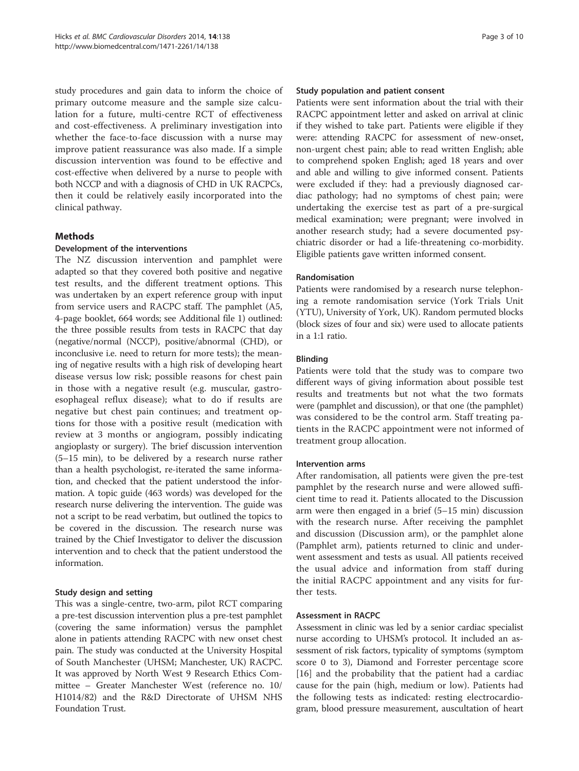study procedures and gain data to inform the choice of primary outcome measure and the sample size calculation for a future, multi-centre RCT of effectiveness and cost-effectiveness. A preliminary investigation into whether the face-to-face discussion with a nurse may improve patient reassurance was also made. If a simple discussion intervention was found to be effective and cost-effective when delivered by a nurse to people with both NCCP and with a diagnosis of CHD in UK RACPCs, then it could be relatively easily incorporated into the clinical pathway.

#### Methods

#### Development of the interventions

The NZ discussion intervention and pamphlet were adapted so that they covered both positive and negative test results, and the different treatment options. This was undertaken by an expert reference group with input from service users and RACPC staff. The pamphlet (A5, 4-page booklet, 664 words; see Additional file [1](#page-9-0)) outlined: the three possible results from tests in RACPC that day (negative/normal (NCCP), positive/abnormal (CHD), or inconclusive i.e. need to return for more tests); the meaning of negative results with a high risk of developing heart disease versus low risk; possible reasons for chest pain in those with a negative result (e.g. muscular, gastroesophageal reflux disease); what to do if results are negative but chest pain continues; and treatment options for those with a positive result (medication with review at 3 months or angiogram, possibly indicating angioplasty or surgery). The brief discussion intervention (5–15 min), to be delivered by a research nurse rather than a health psychologist, re-iterated the same information, and checked that the patient understood the information. A topic guide (463 words) was developed for the research nurse delivering the intervention. The guide was not a script to be read verbatim, but outlined the topics to be covered in the discussion. The research nurse was trained by the Chief Investigator to deliver the discussion intervention and to check that the patient understood the information.

#### Study design and setting

This was a single-centre, two-arm, pilot RCT comparing a pre-test discussion intervention plus a pre-test pamphlet (covering the same information) versus the pamphlet alone in patients attending RACPC with new onset chest pain. The study was conducted at the University Hospital of South Manchester (UHSM; Manchester, UK) RACPC. It was approved by North West 9 Research Ethics Committee – Greater Manchester West (reference no. 10/ H1014/82) and the R&D Directorate of UHSM NHS Foundation Trust.

#### Study population and patient consent

Patients were sent information about the trial with their RACPC appointment letter and asked on arrival at clinic if they wished to take part. Patients were eligible if they were: attending RACPC for assessment of new-onset, non-urgent chest pain; able to read written English; able to comprehend spoken English; aged 18 years and over and able and willing to give informed consent. Patients were excluded if they: had a previously diagnosed cardiac pathology; had no symptoms of chest pain; were undertaking the exercise test as part of a pre-surgical medical examination; were pregnant; were involved in another research study; had a severe documented psychiatric disorder or had a life-threatening co-morbidity. Eligible patients gave written informed consent.

#### Randomisation

Patients were randomised by a research nurse telephoning a remote randomisation service (York Trials Unit (YTU), University of York, UK). Random permuted blocks (block sizes of four and six) were used to allocate patients in a 1:1 ratio.

#### Blinding

Patients were told that the study was to compare two different ways of giving information about possible test results and treatments but not what the two formats were (pamphlet and discussion), or that one (the pamphlet) was considered to be the control arm. Staff treating patients in the RACPC appointment were not informed of treatment group allocation.

#### Intervention arms

After randomisation, all patients were given the pre-test pamphlet by the research nurse and were allowed sufficient time to read it. Patients allocated to the Discussion arm were then engaged in a brief (5–15 min) discussion with the research nurse. After receiving the pamphlet and discussion (Discussion arm), or the pamphlet alone (Pamphlet arm), patients returned to clinic and underwent assessment and tests as usual. All patients received the usual advice and information from staff during the initial RACPC appointment and any visits for further tests.

#### Assessment in RACPC

Assessment in clinic was led by a senior cardiac specialist nurse according to UHSM's protocol. It included an assessment of risk factors, typicality of symptoms (symptom score 0 to 3), Diamond and Forrester percentage score [[16\]](#page-10-0) and the probability that the patient had a cardiac cause for the pain (high, medium or low). Patients had the following tests as indicated: resting electrocardiogram, blood pressure measurement, auscultation of heart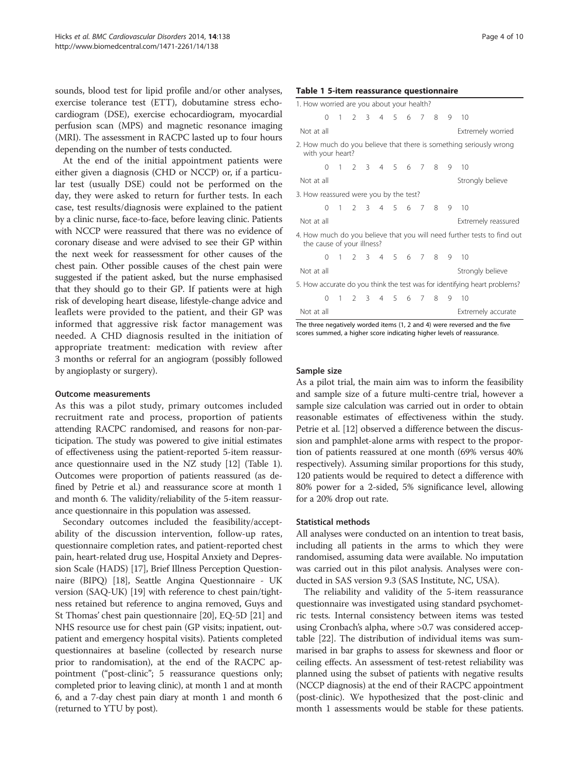sounds, blood test for lipid profile and/or other analyses, exercise tolerance test (ETT), dobutamine stress echocardiogram (DSE), exercise echocardiogram, myocardial perfusion scan (MPS) and magnetic resonance imaging (MRI). The assessment in RACPC lasted up to four hours depending on the number of tests conducted.

At the end of the initial appointment patients were either given a diagnosis (CHD or NCCP) or, if a particular test (usually DSE) could not be performed on the day, they were asked to return for further tests. In each case, test results/diagnosis were explained to the patient by a clinic nurse, face-to-face, before leaving clinic. Patients with NCCP were reassured that there was no evidence of coronary disease and were advised to see their GP within the next week for reassessment for other causes of the chest pain. Other possible causes of the chest pain were suggested if the patient asked, but the nurse emphasised that they should go to their GP. If patients were at high risk of developing heart disease, lifestyle-change advice and leaflets were provided to the patient, and their GP was informed that aggressive risk factor management was needed. A CHD diagnosis resulted in the initiation of appropriate treatment: medication with review after 3 months or referral for an angiogram (possibly followed by angioplasty or surgery).

#### Outcome measurements

As this was a pilot study, primary outcomes included recruitment rate and process, proportion of patients attending RACPC randomised, and reasons for non-participation. The study was powered to give initial estimates of effectiveness using the patient-reported 5-item reassurance questionnaire used in the NZ study [[12](#page-10-0)] (Table 1). Outcomes were proportion of patients reassured (as defined by Petrie et al.) and reassurance score at month 1 and month 6. The validity/reliability of the 5-item reassurance questionnaire in this population was assessed.

Secondary outcomes included the feasibility/acceptability of the discussion intervention, follow-up rates, questionnaire completion rates, and patient-reported chest pain, heart-related drug use, Hospital Anxiety and Depression Scale (HADS) [[17](#page-10-0)], Brief Illness Perception Questionnaire (BIPQ) [\[18\]](#page-10-0), Seattle Angina Questionnaire - UK version (SAQ-UK) [\[19\]](#page-10-0) with reference to chest pain/tightness retained but reference to angina removed, Guys and St Thomas' chest pain questionnaire [\[20\]](#page-10-0), EQ-5D [\[21\]](#page-10-0) and NHS resource use for chest pain (GP visits; inpatient, outpatient and emergency hospital visits). Patients completed questionnaires at baseline (collected by research nurse prior to randomisation), at the end of the RACPC appointment ("post-clinic"; 5 reassurance questions only; completed prior to leaving clinic), at month 1 and at month 6, and a 7-day chest pain diary at month 1 and month 6 (returned to YTU by post).

#### Table 1 5-item reassurance questionnaire

| 1. How worried are you about your health?                                                             |                                   |              |             |                  |  |       |  |             |     |   |                                                                           |
|-------------------------------------------------------------------------------------------------------|-----------------------------------|--------------|-------------|------------------|--|-------|--|-------------|-----|---|---------------------------------------------------------------------------|
|                                                                                                       | $\Omega$                          | $\mathbf{1}$ |             | 2 <sup>3</sup>   |  | 4 5 6 |  |             | 7 8 | 9 | 10                                                                        |
| Not at all                                                                                            |                                   |              |             |                  |  |       |  |             |     |   | Extremely worried                                                         |
| 2. How much do you believe that there is something seriously wrong<br>with your heart?                |                                   |              |             |                  |  |       |  |             |     |   |                                                                           |
|                                                                                                       | $\Omega$                          |              |             |                  |  |       |  | 2 3 4 5 6 7 | 8   | 9 | 10                                                                        |
| Not at all                                                                                            |                                   |              |             |                  |  |       |  |             |     |   | Strongly believe                                                          |
| 3. How reassured were you by the test?                                                                |                                   |              |             |                  |  |       |  |             |     |   |                                                                           |
|                                                                                                       | 0                                 |              | $1 \t2 \t3$ |                  |  |       |  | 4 5 6 7     | 8   | 9 | 10                                                                        |
|                                                                                                       | Not at all<br>Extremely reassured |              |             |                  |  |       |  |             |     |   |                                                                           |
| 4. How much do you believe that you will need further tests to find out<br>the cause of your illness? |                                   |              |             |                  |  |       |  |             |     |   |                                                                           |
|                                                                                                       | $\Omega$                          | $\mathbf{1}$ |             | 2 <sup>3</sup>   |  |       |  | 4 5 6 7 8   |     | 9 | 10                                                                        |
| Not at all                                                                                            |                                   |              |             |                  |  |       |  |             |     |   | Strongly believe                                                          |
| 5. How accurate do you think the test was for identifying heart problems?                             |                                   |              |             |                  |  |       |  |             |     |   |                                                                           |
|                                                                                                       | $\Omega$                          | $\sim$ 1     |             | $2 \overline{3}$ |  |       |  | 4 5 6 7 8   |     | 9 | 10                                                                        |
|                                                                                                       | Not at all<br>Extremely accurate  |              |             |                  |  |       |  |             |     |   |                                                                           |
|                                                                                                       |                                   |              |             |                  |  |       |  |             |     |   | The three negatively worded items (1, 2 and 4) were reversed and the five |

The three negatively worded items (1, 2 and 4) were reversed and the five scores summed, a higher score indicating higher levels of reassurance.

#### Sample size

As a pilot trial, the main aim was to inform the feasibility and sample size of a future multi-centre trial, however a sample size calculation was carried out in order to obtain reasonable estimates of effectiveness within the study. Petrie et al. [[12](#page-10-0)] observed a difference between the discussion and pamphlet-alone arms with respect to the proportion of patients reassured at one month (69% versus 40% respectively). Assuming similar proportions for this study, 120 patients would be required to detect a difference with 80% power for a 2-sided, 5% significance level, allowing for a 20% drop out rate.

#### Statistical methods

All analyses were conducted on an intention to treat basis, including all patients in the arms to which they were randomised, assuming data were available. No imputation was carried out in this pilot analysis. Analyses were conducted in SAS version 9.3 (SAS Institute, NC, USA).

The reliability and validity of the 5-item reassurance questionnaire was investigated using standard psychometric tests. Internal consistency between items was tested using Cronbach's alpha, where >0.7 was considered acceptable [[22](#page-10-0)]. The distribution of individual items was summarised in bar graphs to assess for skewness and floor or ceiling effects. An assessment of test-retest reliability was planned using the subset of patients with negative results (NCCP diagnosis) at the end of their RACPC appointment (post-clinic). We hypothesized that the post-clinic and month 1 assessments would be stable for these patients.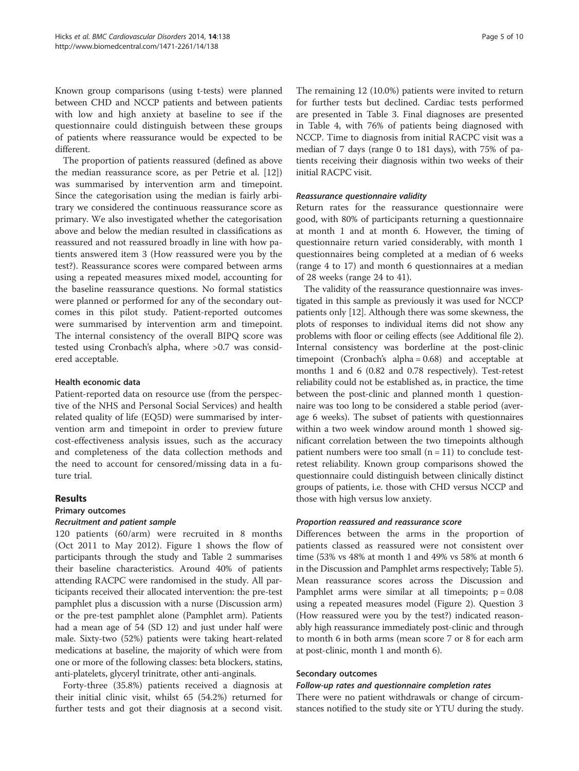Known group comparisons (using t-tests) were planned between CHD and NCCP patients and between patients with low and high anxiety at baseline to see if the questionnaire could distinguish between these groups of patients where reassurance would be expected to be different.

The proportion of patients reassured (defined as above the median reassurance score, as per Petrie et al. [\[12](#page-10-0)]) was summarised by intervention arm and timepoint. Since the categorisation using the median is fairly arbitrary we considered the continuous reassurance score as primary. We also investigated whether the categorisation above and below the median resulted in classifications as reassured and not reassured broadly in line with how patients answered item 3 (How reassured were you by the test?). Reassurance scores were compared between arms using a repeated measures mixed model, accounting for the baseline reassurance questions. No formal statistics were planned or performed for any of the secondary outcomes in this pilot study. Patient-reported outcomes were summarised by intervention arm and timepoint. The internal consistency of the overall BIPQ score was tested using Cronbach's alpha, where >0.7 was considered acceptable.

#### Health economic data

Patient-reported data on resource use (from the perspective of the NHS and Personal Social Services) and health related quality of life (EQ5D) were summarised by intervention arm and timepoint in order to preview future cost-effectiveness analysis issues, such as the accuracy and completeness of the data collection methods and the need to account for censored/missing data in a future trial.

#### Results

#### Primary outcomes

#### Recruitment and patient sample

120 patients (60/arm) were recruited in 8 months (Oct 2011 to May 2012). Figure [1](#page-6-0) shows the flow of participants through the study and Table [2](#page-7-0) summarises their baseline characteristics. Around 40% of patients attending RACPC were randomised in the study. All participants received their allocated intervention: the pre-test pamphlet plus a discussion with a nurse (Discussion arm) or the pre-test pamphlet alone (Pamphlet arm). Patients had a mean age of 54 (SD 12) and just under half were male. Sixty-two (52%) patients were taking heart-related medications at baseline, the majority of which were from one or more of the following classes: beta blockers, statins, anti-platelets, glyceryl trinitrate, other anti-anginals.

Forty-three (35.8%) patients received a diagnosis at their initial clinic visit, whilst 65 (54.2%) returned for further tests and got their diagnosis at a second visit.

The remaining 12 (10.0%) patients were invited to return for further tests but declined. Cardiac tests performed are presented in Table [3](#page-7-0). Final diagnoses are presented in Table [4,](#page-7-0) with 76% of patients being diagnosed with NCCP. Time to diagnosis from initial RACPC visit was a median of 7 days (range 0 to 181 days), with 75% of patients receiving their diagnosis within two weeks of their initial RACPC visit.

#### Reassurance questionnaire validity

Return rates for the reassurance questionnaire were good, with 80% of participants returning a questionnaire at month 1 and at month 6. However, the timing of questionnaire return varied considerably, with month 1 questionnaires being completed at a median of 6 weeks (range 4 to 17) and month 6 questionnaires at a median of 28 weeks (range 24 to 41).

The validity of the reassurance questionnaire was investigated in this sample as previously it was used for NCCP patients only [[12](#page-10-0)]. Although there was some skewness, the plots of responses to individual items did not show any problems with floor or ceiling effects (see Additional file [2](#page-9-0)). Internal consistency was borderline at the post-clinic timepoint (Cronbach's alpha = 0.68) and acceptable at months 1 and 6 (0.82 and 0.78 respectively). Test-retest reliability could not be established as, in practice, the time between the post-clinic and planned month 1 questionnaire was too long to be considered a stable period (average 6 weeks). The subset of patients with questionnaires within a two week window around month 1 showed significant correlation between the two timepoints although patient numbers were too small  $(n = 11)$  to conclude testretest reliability. Known group comparisons showed the questionnaire could distinguish between clinically distinct groups of patients, i.e. those with CHD versus NCCP and those with high versus low anxiety.

#### Proportion reassured and reassurance score

Differences between the arms in the proportion of patients classed as reassured were not consistent over time (53% vs 48% at month 1 and 49% vs 58% at month 6 in the Discussion and Pamphlet arms respectively; Table [5](#page-8-0)). Mean reassurance scores across the Discussion and Pamphlet arms were similar at all timepoints;  $p = 0.08$ using a repeated measures model (Figure [2\)](#page-8-0). Question 3 (How reassured were you by the test?) indicated reasonably high reassurance immediately post-clinic and through to month 6 in both arms (mean score 7 or 8 for each arm at post-clinic, month 1 and month 6).

#### Secondary outcomes

#### Follow-up rates and questionnaire completion rates

There were no patient withdrawals or change of circumstances notified to the study site or YTU during the study.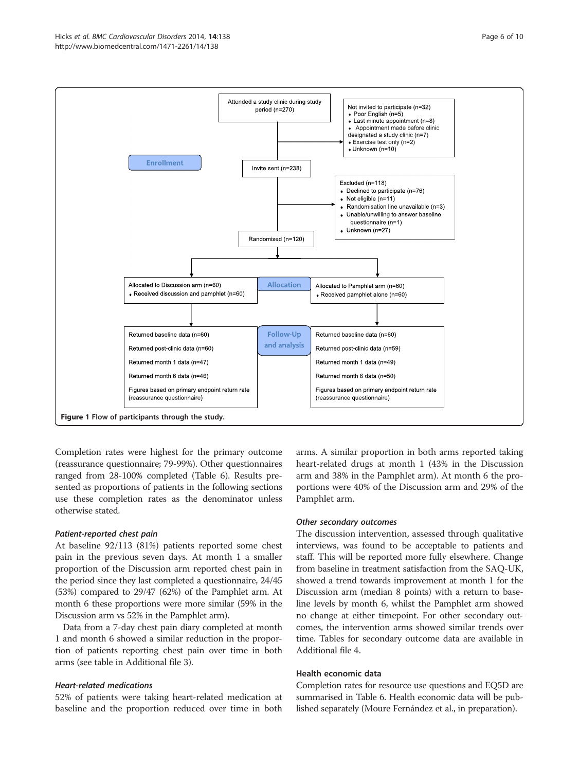<span id="page-6-0"></span>

Completion rates were highest for the primary outcome (reassurance questionnaire; 79-99%). Other questionnaires ranged from 28-100% completed (Table [6](#page-9-0)). Results presented as proportions of patients in the following sections use these completion rates as the denominator unless otherwise stated.

#### Patient-reported chest pain

At baseline 92/113 (81%) patients reported some chest pain in the previous seven days. At month 1 a smaller proportion of the Discussion arm reported chest pain in the period since they last completed a questionnaire, 24/45 (53%) compared to 29/47 (62%) of the Pamphlet arm. At month 6 these proportions were more similar (59% in the Discussion arm vs 52% in the Pamphlet arm).

Data from a 7-day chest pain diary completed at month 1 and month 6 showed a similar reduction in the proportion of patients reporting chest pain over time in both arms (see table in Additional file [3\)](#page-9-0).

#### Heart-related medications

52% of patients were taking heart-related medication at baseline and the proportion reduced over time in both

arms. A similar proportion in both arms reported taking heart-related drugs at month 1 (43% in the Discussion arm and 38% in the Pamphlet arm). At month 6 the proportions were 40% of the Discussion arm and 29% of the Pamphlet arm.

#### Other secondary outcomes

The discussion intervention, assessed through qualitative interviews, was found to be acceptable to patients and staff. This will be reported more fully elsewhere. Change from baseline in treatment satisfaction from the SAQ-UK, showed a trend towards improvement at month 1 for the Discussion arm (median 8 points) with a return to baseline levels by month 6, whilst the Pamphlet arm showed no change at either timepoint. For other secondary outcomes, the intervention arms showed similar trends over time. Tables for secondary outcome data are available in Additional file [4](#page-9-0).

#### Health economic data

Completion rates for resource use questions and EQ5D are summarised in Table [6](#page-9-0). Health economic data will be published separately (Moure Fernández et al., in preparation).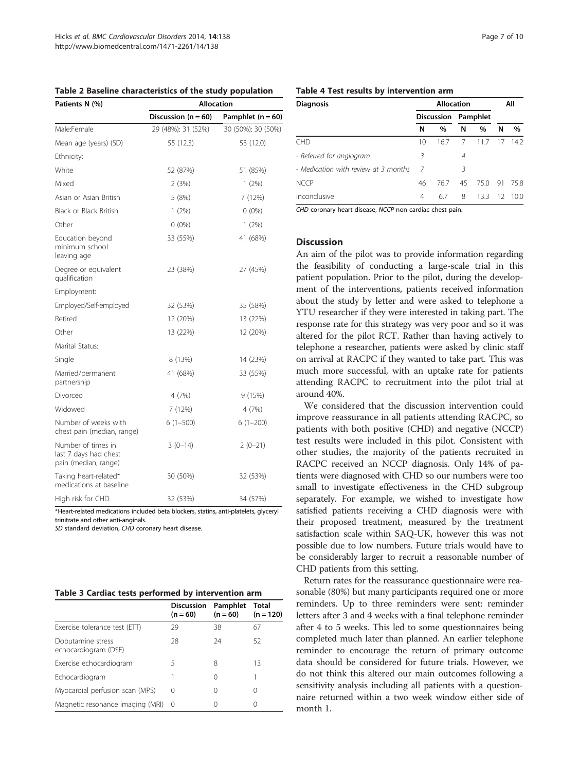<span id="page-7-0"></span>

|  |  | Table 2 Baseline characteristics of the study population |  |  |  |
|--|--|----------------------------------------------------------|--|--|--|
|--|--|----------------------------------------------------------|--|--|--|

| Patients N (%)                                                      | <b>Allocation</b>     |                     |  |  |  |
|---------------------------------------------------------------------|-----------------------|---------------------|--|--|--|
|                                                                     | Discussion $(n = 60)$ | Pamphlet $(n = 60)$ |  |  |  |
| Male:Female                                                         | 29 (48%): 31 (52%)    | 30 (50%): 30 (50%)  |  |  |  |
| Mean age (years) (SD)                                               | 55 (12.3)             | 53 (12.0)           |  |  |  |
| Ethnicity:                                                          |                       |                     |  |  |  |
| White                                                               | 52 (87%)              | 51 (85%)            |  |  |  |
| Mixed                                                               | 2(3%)                 | 1(2%)               |  |  |  |
| Asian or Asian British                                              | 5 (8%)                | 7 (12%)             |  |  |  |
| Black or Black British                                              | $1(2\%)$              | $0(0\%)$            |  |  |  |
| Other                                                               | $0(0\%)$              | 1(2%)               |  |  |  |
| Education beyond<br>minimum school<br>leaving age                   | 33 (55%)              | 41 (68%)            |  |  |  |
| Degree or equivalent<br>qualification                               | 23 (38%)              | 27 (45%)            |  |  |  |
| Employment:                                                         |                       |                     |  |  |  |
| Employed/Self-employed                                              | 32 (53%)              | 35 (58%)            |  |  |  |
| Retired                                                             | 12 (20%)              | 13 (22%)            |  |  |  |
| Other                                                               | 13 (22%)              | 12 (20%)            |  |  |  |
| Marital Status:                                                     |                       |                     |  |  |  |
| Single                                                              | 8 (13%)               | 14 (23%)            |  |  |  |
| Married/permanent<br>partnership                                    | 41 (68%)              | 33 (55%)            |  |  |  |
| Divorced                                                            | 4 (7%)                | 9 (15%)             |  |  |  |
| Widowed                                                             | 7 (12%)               | 4 (7%)              |  |  |  |
| Number of weeks with<br>chest pain (median, range)                  | $6(1 - 500)$          | $6(1-200)$          |  |  |  |
| Number of times in<br>last 7 days had chest<br>pain (median, range) | $3(0-14)$             | $2(0-21)$           |  |  |  |
| Taking heart-related*<br>medications at baseline                    | 30 (50%)              | 32 (53%)            |  |  |  |
| High risk for CHD                                                   | 32 (53%)              | 34 (57%)            |  |  |  |

\*Heart-related medications included beta blockers, statins, anti-platelets, glyceryl trinitrate and other anti-anginals.

SD standard deviation, CHD coronary heart disease.

| Table 3 Cardiac tests performed by intervention arm |  |  |
|-----------------------------------------------------|--|--|
|-----------------------------------------------------|--|--|

|                                           | <b>Discussion</b><br>$(n = 60)$ | Pamphlet<br>$(n = 60)$ | Total<br>$(n = 120)$ |
|-------------------------------------------|---------------------------------|------------------------|----------------------|
| Exercise tolerance test (ETT)             | 29                              | 38                     | 67                   |
| Dobutamine stress<br>echocardiogram (DSE) | 28                              | 24                     | 52                   |
| Exercise echocardiogram                   | 5                               | 8                      | 13                   |
| Echocardiogram                            |                                 | ∩                      |                      |
| Myocardial perfusion scan (MPS)           | 0                               | ∩                      |                      |
| Magnetic resonance imaging (MRI)          | ∩                               | Ω                      |                      |

#### Table 4 Test results by intervention arm

| <b>Diagnosis</b>                     |                     | <b>Allocation</b> |    |      |    | Αll     |  |
|--------------------------------------|---------------------|-------------------|----|------|----|---------|--|
|                                      | Discussion Pamphlet |                   |    |      |    |         |  |
|                                      | N                   | $\%$              | N  | %    | N  | %       |  |
| CHD                                  | 10                  | 16.7              |    | 11 7 |    | 14.2    |  |
| - Referred for angiogram             | 3                   |                   | 4  |      |    |         |  |
| - Medication with review at 3 months | 7                   |                   | 3  |      |    |         |  |
| <b>NCCP</b>                          | 46                  | 76.7              | 45 | 75.0 |    | 91 75.8 |  |
| Inconclusive                         | 4                   | 6.7               | 8  | 13.3 | 12 | 10.0    |  |

CHD coronary heart disease, NCCP non-cardiac chest pain.

#### **Discussion**

An aim of the pilot was to provide information regarding the feasibility of conducting a large-scale trial in this patient population. Prior to the pilot, during the development of the interventions, patients received information about the study by letter and were asked to telephone a YTU researcher if they were interested in taking part. The response rate for this strategy was very poor and so it was altered for the pilot RCT. Rather than having actively to telephone a researcher, patients were asked by clinic staff on arrival at RACPC if they wanted to take part. This was much more successful, with an uptake rate for patients attending RACPC to recruitment into the pilot trial at around 40%.

We considered that the discussion intervention could improve reassurance in all patients attending RACPC, so patients with both positive (CHD) and negative (NCCP) test results were included in this pilot. Consistent with other studies, the majority of the patients recruited in RACPC received an NCCP diagnosis. Only 14% of patients were diagnosed with CHD so our numbers were too small to investigate effectiveness in the CHD subgroup separately. For example, we wished to investigate how satisfied patients receiving a CHD diagnosis were with their proposed treatment, measured by the treatment satisfaction scale within SAQ-UK, however this was not possible due to low numbers. Future trials would have to be considerably larger to recruit a reasonable number of CHD patients from this setting.

Return rates for the reassurance questionnaire were reasonable (80%) but many participants required one or more reminders. Up to three reminders were sent: reminder letters after 3 and 4 weeks with a final telephone reminder after 4 to 5 weeks. This led to some questionnaires being completed much later than planned. An earlier telephone reminder to encourage the return of primary outcome data should be considered for future trials. However, we do not think this altered our main outcomes following a sensitivity analysis including all patients with a questionnaire returned within a two week window either side of month 1.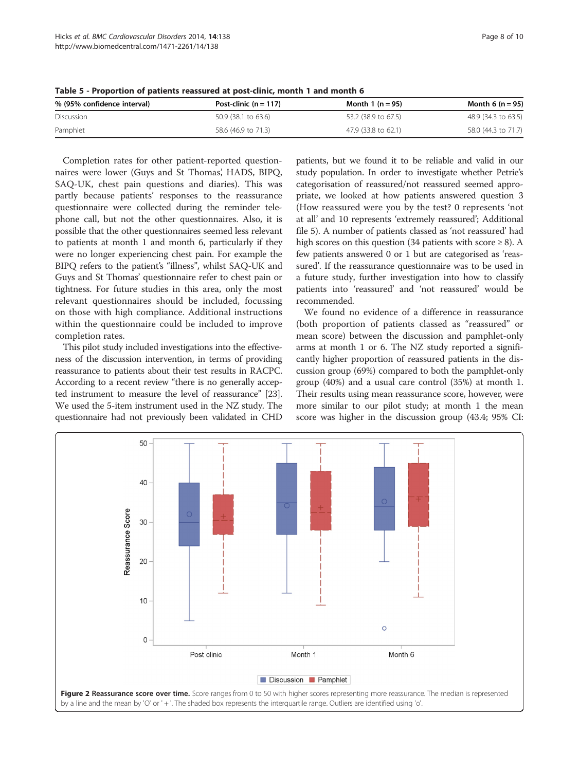| % (95% confidence interval) | Post-clinic $(n = 117)$ | Month 1 ( $n = 95$ ) | Month 6 ( $n = 95$ ) |  |  |  |  |
|-----------------------------|-------------------------|----------------------|----------------------|--|--|--|--|
| Discussion                  | 50.9 (38.1 to 63.6)     | 53.2 (38.9 to 67.5)  | 48.9 (34.3 to 63.5)  |  |  |  |  |
| Pamphlet                    | 58.6 (46.9 to 71.3)     | 47.9 (33.8 to 62.1)  | 58.0 (44.3 to 71.7)  |  |  |  |  |

<span id="page-8-0"></span>Table 5 - Proportion of patients reassured at post-clinic, month 1 and month 6

Completion rates for other patient-reported questionnaires were lower (Guys and St Thomas', HADS, BIPQ, SAQ-UK, chest pain questions and diaries). This was partly because patients' responses to the reassurance questionnaire were collected during the reminder telephone call, but not the other questionnaires. Also, it is possible that the other questionnaires seemed less relevant to patients at month 1 and month 6, particularly if they were no longer experiencing chest pain. For example the BIPQ refers to the patient's "illness", whilst SAQ-UK and Guys and St Thomas' questionnaire refer to chest pain or tightness. For future studies in this area, only the most relevant questionnaires should be included, focussing on those with high compliance. Additional instructions within the questionnaire could be included to improve completion rates.

This pilot study included investigations into the effectiveness of the discussion intervention, in terms of providing reassurance to patients about their test results in RACPC. According to a recent review "there is no generally accepted instrument to measure the level of reassurance" [\[23](#page-10-0)]. We used the 5-item instrument used in the NZ study. The questionnaire had not previously been validated in CHD

patients, but we found it to be reliable and valid in our study population. In order to investigate whether Petrie's categorisation of reassured/not reassured seemed appropriate, we looked at how patients answered question 3 (How reassured were you by the test? 0 represents 'not at all' and 10 represents 'extremely reassured'; Additional file [5](#page-10-0)). A number of patients classed as 'not reassured' had high scores on this question (34 patients with score  $\geq 8$ ). A few patients answered 0 or 1 but are categorised as 'reassured'. If the reassurance questionnaire was to be used in a future study, further investigation into how to classify patients into 'reassured' and 'not reassured' would be recommended.

We found no evidence of a difference in reassurance (both proportion of patients classed as "reassured" or mean score) between the discussion and pamphlet-only arms at month 1 or 6. The NZ study reported a significantly higher proportion of reassured patients in the discussion group (69%) compared to both the pamphlet-only group (40%) and a usual care control (35%) at month 1. Their results using mean reassurance score, however, were more similar to our pilot study; at month 1 the mean score was higher in the discussion group (43.4; 95% CI:

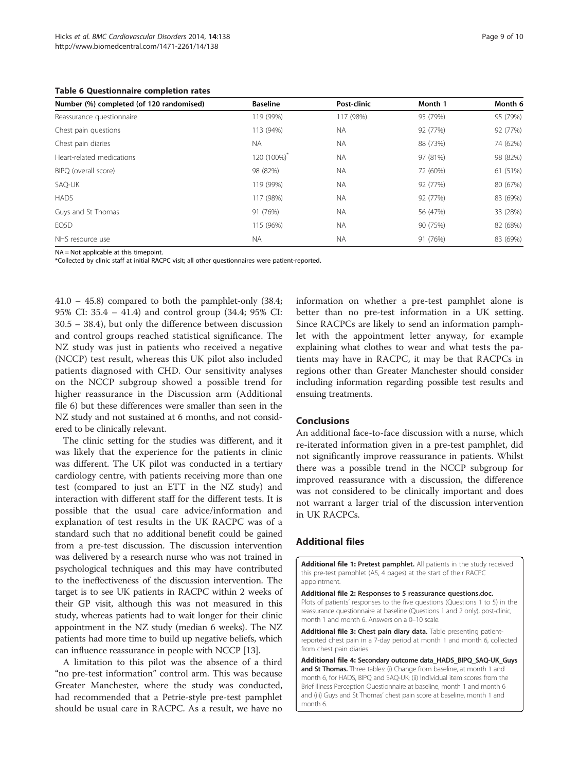<span id="page-9-0"></span>Table 6 Questionnaire completion rates

| Number (%) completed (of 120 randomised) | <b>Baseline</b> | Post-clinic | Month 1  | Month 6  |
|------------------------------------------|-----------------|-------------|----------|----------|
| Reassurance questionnaire                | 119 (99%)       | 117 (98%)   | 95 (79%) | 95 (79%) |
| Chest pain questions                     | 113 (94%)       | ΝA          | 92 (77%) | 92 (77%) |
| Chest pain diaries                       | <b>NA</b>       | <b>NA</b>   | 88 (73%) | 74 (62%) |
| Heart-related medications                | 120 (100%)      | <b>NA</b>   | 97 (81%) | 98 (82%) |
| BIPQ (overall score)                     | 98 (82%)        | <b>NA</b>   | 72 (60%) | 61 (51%) |
| SAO-UK                                   | 119 (99%)       | NA.         | 92 (77%) | 80 (67%) |
| <b>HADS</b>                              | 117 (98%)       | <b>NA</b>   | 92 (77%) | 83 (69%) |
| Guys and St Thomas                       | 91 (76%)        | <b>NA</b>   | 56 (47%) | 33 (28%) |
| EQ5D                                     | 115 (96%)       | <b>NA</b>   | 90 (75%) | 82 (68%) |
| NHS resource use                         | <b>NA</b>       | <b>NA</b>   | 91 (76%) | 83 (69%) |

NA = Not applicable at this timepoint.

\*Collected by clinic staff at initial RACPC visit; all other questionnaires were patient-reported.

41.0 – 45.8) compared to both the pamphlet-only (38.4; 95% CI: 35.4 – 41.4) and control group (34.4; 95% CI: 30.5 – 38.4), but only the difference between discussion and control groups reached statistical significance. The NZ study was just in patients who received a negative (NCCP) test result, whereas this UK pilot also included patients diagnosed with CHD. Our sensitivity analyses on the NCCP subgroup showed a possible trend for higher reassurance in the Discussion arm (Additional file [6\)](#page-10-0) but these differences were smaller than seen in the NZ study and not sustained at 6 months, and not considered to be clinically relevant.

The clinic setting for the studies was different, and it was likely that the experience for the patients in clinic was different. The UK pilot was conducted in a tertiary cardiology centre, with patients receiving more than one test (compared to just an ETT in the NZ study) and interaction with different staff for the different tests. It is possible that the usual care advice/information and explanation of test results in the UK RACPC was of a standard such that no additional benefit could be gained from a pre-test discussion. The discussion intervention was delivered by a research nurse who was not trained in psychological techniques and this may have contributed to the ineffectiveness of the discussion intervention. The target is to see UK patients in RACPC within 2 weeks of their GP visit, although this was not measured in this study, whereas patients had to wait longer for their clinic appointment in the NZ study (median 6 weeks). The NZ patients had more time to build up negative beliefs, which can influence reassurance in people with NCCP [\[13\]](#page-10-0).

A limitation to this pilot was the absence of a third "no pre-test information" control arm. This was because Greater Manchester, where the study was conducted, had recommended that a Petrie-style pre-test pamphlet should be usual care in RACPC. As a result, we have no

information on whether a pre-test pamphlet alone is better than no pre-test information in a UK setting. Since RACPCs are likely to send an information pamphlet with the appointment letter anyway, for example explaining what clothes to wear and what tests the patients may have in RACPC, it may be that RACPCs in regions other than Greater Manchester should consider including information regarding possible test results and ensuing treatments.

#### Conclusions

An additional face-to-face discussion with a nurse, which re-iterated information given in a pre-test pamphlet, did not significantly improve reassurance in patients. Whilst there was a possible trend in the NCCP subgroup for improved reassurance with a discussion, the difference was not considered to be clinically important and does not warrant a larger trial of the discussion intervention in UK RACPCs.

#### Additional files

[Additional file 1:](http://www.biomedcentral.com/content/supplementary/1471-2261-14-138-S1.pdf) Pretest pamphlet. All patients in the study received this pre-test pamphlet (A5, 4 pages) at the start of their RACPC appointment.

[Additional file 2:](http://www.biomedcentral.com/content/supplementary/1471-2261-14-138-S2.docx) Responses to 5 reassurance questions.doc. Plots of patients' responses to the five questions (Questions 1 to 5) in the reassurance questionnaire at baseline (Questions 1 and 2 only), post-clinic, month 1 and month 6. Answers on a 0–10 scale.

[Additional file 3:](http://www.biomedcentral.com/content/supplementary/1471-2261-14-138-S3.docx) Chest pain diary data. Table presenting patientreported chest pain in a 7-day period at month 1 and month 6, collected from chest pain diaries.

[Additional file 4:](http://www.biomedcentral.com/content/supplementary/1471-2261-14-138-S4.docx) Secondary outcome data\_HADS\_BIPQ\_SAQ-UK\_Guys and St Thomas. Three tables: (i) Change from baseline, at month 1 and month 6, for HADS, BIPQ and SAQ-UK; (ii) Individual item scores from the Brief Illness Perception Questionnaire at baseline, month 1 and month 6 and (iii) Guys and St Thomas' chest pain score at baseline, month 1 and month 6.